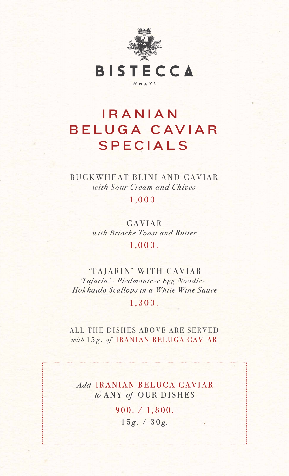

BISTECCA

MMXVI

# IRANIAN BELUGA CAVIAR SPECIALS

BUCKWHEAT BLINI AND CAVIAR with Sour Cream and Chives

 $1,000.$ 

CAVIAR with Brioche Toast and Butter

 $1,000.$ 

'TAJARIN' WITH CAVIAR 'Tajarin' - Piedmontese Egg Noodles, Hokkaido Scallops in a White Wine Sauce

#### $1,300.$

#### ALL THE DISHES ABOVE ARE SERVED with 15g. of IRANIAN BELUGA CAVIAR

Add IRANIAN BELUGA CAVIAR to ANY of OUR DISHES  $900. / 1,800.$  $15g. / 30g.$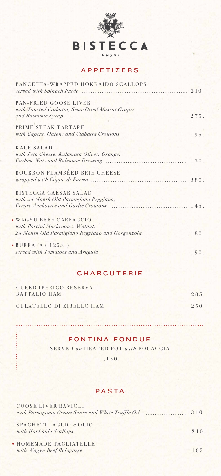

#### APPETIZERS

| PANCETTA-WRAPPED HOKKAIDO SCALLOPS                                       |  |
|--------------------------------------------------------------------------|--|
| PAN-FRIED GOOSE LIVER<br>with Toasted Ciabatta, Semi-Dried Muscat Grapes |  |
| PRIME STEAK TARTARE                                                      |  |
| <b>KALE SALAD</b><br>with Feta Cheese, Kalamata Olives, Orange,          |  |
| BOURBON FLAMBÉED BRIE CHEESE                                             |  |

GOOSE LIVER RAVIOLI with Parmigiano Cream Sauce and White Truffle Oil 310.

| BISTECCA CAESAR SALAD                                         |  |
|---------------------------------------------------------------|--|
| with 24 Month Old Parmigiano Reggiano,                        |  |
|                                                               |  |
| · WAGYU BEEF CARPACCIO                                        |  |
| with Porcini Mushrooms, Walnut,                               |  |
| 24 Month Old Parmigiano Reggiano and Gorgonzola  180.         |  |
| $\bullet$ BURRATA (125g.)<br>served with Tomatoes and Arugula |  |

#### CHARCUTERIE

| CURED IBERICO RESERVA |  |
|-----------------------|--|
|                       |  |
|                       |  |
|                       |  |

### FONTINA FONDUE

SERVED *o n* HEATED POT *with* FOCACCIA

1,150.

#### PASTA

SPAGHETTI AGLIO *e* OLIO *with Hokkaido Scallops* 210.

HOMEMADE TAGLIATELLE *with Wagyu Beef Bolognese* 185.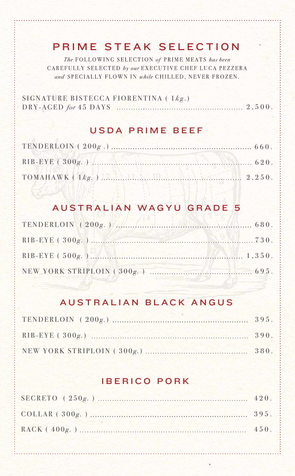## PRIME STEAK SELECTION

The FOLLOWING SELECTION of PRIME MEATS has been CAREFULLY SELECTED by our EXECUTIVE CHEF LUCA PEZZERA and SPECIALLY FLOWN IN while CHILLED, NEVER FROZEN.

## AUSTRALIAN BLACK ANGUS

## IBERICO PORK

SIGNATURE BISTECCA FIORENTINA ( 1 *k g* .) DRY-AGED *for* 45 DAYS 2, 2,500.

NEW YORK STRIPLOIN ( 300 *g.* ) 695.

## AUSTRALIAN WAGYU GRADE 5

RIB-EYE ( 500 *g.* ) 1,350.

#### USDA PRIME BEEF

| RIB-EYE (300g.) |  |
|-----------------|--|
|                 |  |